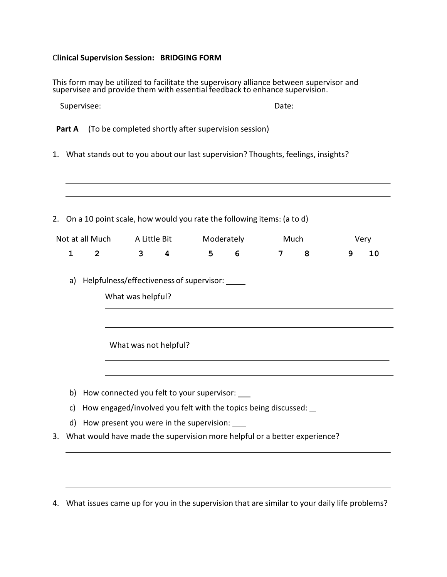## Clinical Supervision Session: BRIDGING FORM

|                                                                                     |                                                                     |                                                                                                            | This form may be utilized to facilitate the supervisory alliance between supervisor and supervisor and provide them with essential feedback to enhance supervision. |              |            |       |      |   |      |    |
|-------------------------------------------------------------------------------------|---------------------------------------------------------------------|------------------------------------------------------------------------------------------------------------|---------------------------------------------------------------------------------------------------------------------------------------------------------------------|--------------|------------|-------|------|---|------|----|
| Supervisee:                                                                         |                                                                     |                                                                                                            |                                                                                                                                                                     |              |            | Date: |      |   |      |    |
|                                                                                     | Part A                                                              |                                                                                                            | (To be completed shortly after supervision session)                                                                                                                 |              |            |       |      |   |      |    |
| 1. What stands out to you about our last supervision? Thoughts, feelings, insights? |                                                                     |                                                                                                            |                                                                                                                                                                     |              |            |       |      |   |      |    |
| 2. On a 10 point scale, how would you rate the following items: (a to d)            |                                                                     |                                                                                                            |                                                                                                                                                                     |              |            |       |      |   |      |    |
|                                                                                     |                                                                     | Not at all Much                                                                                            |                                                                                                                                                                     | A Little Bit | Moderately |       | Much |   | Very |    |
|                                                                                     | $\mathbf{1}$                                                        | $\overline{2}$                                                                                             | $\mathbf{3}$                                                                                                                                                        | 4            | 5          | 6     | 7    | 8 | 9    | 10 |
|                                                                                     | Helpfulness/effectiveness of supervisor:<br>a)<br>What was helpful? |                                                                                                            |                                                                                                                                                                     |              |            |       |      |   |      |    |
|                                                                                     | What was not helpful?                                               |                                                                                                            |                                                                                                                                                                     |              |            |       |      |   |      |    |
|                                                                                     | b)                                                                  |                                                                                                            | How connected you felt to your supervisor:                                                                                                                          |              |            |       |      |   |      |    |
|                                                                                     | c)                                                                  | How engaged/involved you felt with the topics being discussed:<br>How present you were in the supervision: |                                                                                                                                                                     |              |            |       |      |   |      |    |
|                                                                                     | d)                                                                  |                                                                                                            |                                                                                                                                                                     |              |            |       |      |   |      |    |
| 3.                                                                                  |                                                                     |                                                                                                            | What would have made the supervision more helpful or a better experience?                                                                                           |              |            |       |      |   |      |    |

4. What issues came up for you in the supervision that are similar to your daily life problems?